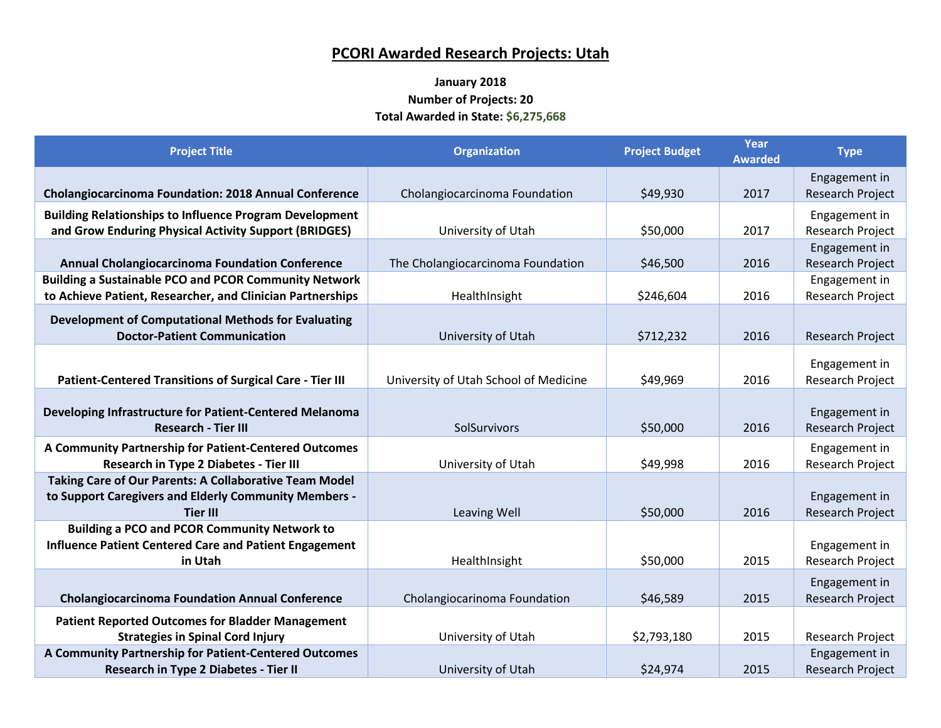## **PCORI Awarded Research Projects: Utah**

## **January 2018 Number of Projects: 20 Total Awarded in State: \$6,275,668**

| <b>Project Title</b>                                                                                                               | <b>Organization</b>                   | <b>Project Budget</b> | Year<br><b>Awarded</b> | <b>Type</b>                              |
|------------------------------------------------------------------------------------------------------------------------------------|---------------------------------------|-----------------------|------------------------|------------------------------------------|
| Cholangiocarcinoma Foundation: 2018 Annual Conference                                                                              | Cholangiocarcinoma Foundation         | \$49,930              | 2017                   | Engagement in<br><b>Research Project</b> |
| <b>Building Relationships to Influence Program Development</b><br>and Grow Enduring Physical Activity Support (BRIDGES)            | University of Utah                    | \$50,000              | 2017                   | Engagement in<br><b>Research Project</b> |
| <b>Annual Cholangiocarcinoma Foundation Conference</b>                                                                             | The Cholangiocarcinoma Foundation     | \$46,500              | 2016                   | Engagement in<br>Research Project        |
| <b>Building a Sustainable PCO and PCOR Community Network</b><br>to Achieve Patient, Researcher, and Clinician Partnerships         | HealthInsight                         | \$246,604             | 2016                   | Engagement in<br><b>Research Project</b> |
| <b>Development of Computational Methods for Evaluating</b><br><b>Doctor-Patient Communication</b>                                  | University of Utah                    | \$712,232             | 2016                   | Research Project                         |
| <b>Patient-Centered Transitions of Surgical Care - Tier III</b>                                                                    | University of Utah School of Medicine | \$49,969              | 2016                   | Engagement in<br><b>Research Project</b> |
| Developing Infrastructure for Patient-Centered Melanoma<br><b>Research - Tier III</b>                                              | SolSurvivors                          | \$50,000              | 2016                   | Engagement in<br><b>Research Project</b> |
| A Community Partnership for Patient-Centered Outcomes<br><b>Research in Type 2 Diabetes - Tier III</b>                             | University of Utah                    | \$49,998              | 2016                   | Engagement in<br>Research Project        |
| Taking Care of Our Parents: A Collaborative Team Model<br>to Support Caregivers and Elderly Community Members -<br><b>Tier III</b> | Leaving Well                          | \$50,000              | 2016                   | Engagement in<br><b>Research Project</b> |
| <b>Building a PCO and PCOR Community Network to</b><br><b>Influence Patient Centered Care and Patient Engagement</b><br>in Utah    | HealthInsight                         | \$50,000              | 2015                   | Engagement in<br>Research Project        |
| <b>Cholangiocarcinoma Foundation Annual Conference</b>                                                                             | Cholangiocarinoma Foundation          | \$46,589              | 2015                   | Engagement in<br><b>Research Project</b> |
| <b>Patient Reported Outcomes for Bladder Management</b><br><b>Strategies in Spinal Cord Injury</b>                                 | University of Utah                    | \$2,793,180           | 2015                   | <b>Research Project</b>                  |
| A Community Partnership for Patient-Centered Outcomes<br><b>Research in Type 2 Diabetes - Tier II</b>                              | University of Utah                    | \$24,974              | 2015                   | Engagement in<br><b>Research Project</b> |